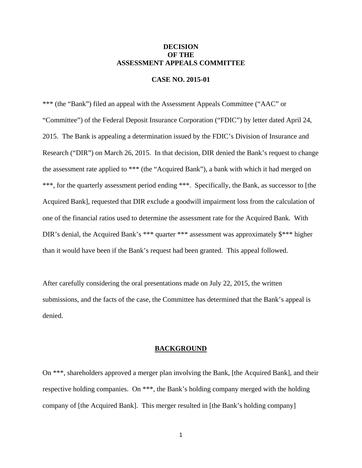# **DECISION OF THE ASSESSMENT APPEALS COMMITTEE**

## **CASE NO. 2015-01**

\*\*\* (the "Bank") filed an appeal with the Assessment Appeals Committee ("AAC" or "Committee") of the Federal Deposit Insurance Corporation ("FDIC") by letter dated April 24, 2015. The Bank is appealing a determination issued by the FDIC's Division of Insurance and Research ("DIR") on March 26, 2015. In that decision, DIR denied the Bank's request to change the assessment rate applied to \*\*\* (the "Acquired Bank"), a bank with which it had merged on \*\*\*, for the quarterly assessment period ending \*\*\*. Specifically, the Bank, as successor to [the Acquired Bank], requested that DIR exclude a goodwill impairment loss from the calculation of one of the financial ratios used to determine the assessment rate for the Acquired Bank. With DIR's denial, the Acquired Bank's \*\*\* quarter \*\*\* assessment was approximately \$\*\*\* higher than it would have been if the Bank's request had been granted. This appeal followed.

After carefully considering the oral presentations made on July 22, 2015, the written submissions, and the facts of the case, the Committee has determined that the Bank's appeal is denied.

## **BACKGROUND**

On \*\*\*, shareholders approved a merger plan involving the Bank, [the Acquired Bank], and their respective holding companies. On \*\*\*, the Bank's holding company merged with the holding company of [the Acquired Bank]. This merger resulted in [the Bank's holding company]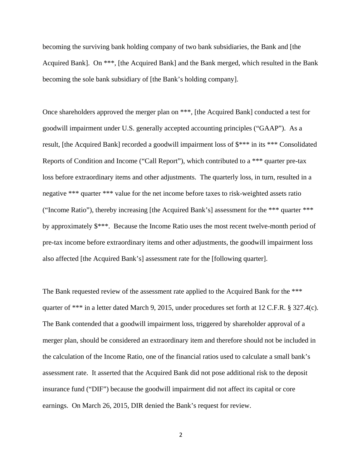becoming the surviving bank holding company of two bank subsidiaries, the Bank and [the Acquired Bank]. On \*\*\*, [the Acquired Bank] and the Bank merged, which resulted in the Bank becoming the sole bank subsidiary of [the Bank's holding company].

Once shareholders approved the merger plan on \*\*\*, [the Acquired Bank] conducted a test for goodwill impairment under U.S. generally accepted accounting principles ("GAAP"). As a result, [the Acquired Bank] recorded a goodwill impairment loss of  $\frac{1}{2}$ \*\*\* in its \*\*\* Consolidated Reports of Condition and Income ("Call Report"), which contributed to a \*\*\* quarter pre-tax loss before extraordinary items and other adjustments. The quarterly loss, in turn, resulted in a negative \*\*\* quarter \*\*\* value for the net income before taxes to risk-weighted assets ratio ("Income Ratio"), thereby increasing [the Acquired Bank's] assessment for the \*\*\* quarter \*\*\* by approximately \$\*\*\*. Because the Income Ratio uses the most recent twelve-month period of pre-tax income before extraordinary items and other adjustments, the goodwill impairment loss also affected [the Acquired Bank's] assessment rate for the [following quarter].

The Bank requested review of the assessment rate applied to the Acquired Bank for the \*\*\* quarter of \*\*\* in a letter dated March 9, 2015, under procedures set forth at 12 C.F.R. § 327.4(c). The Bank contended that a goodwill impairment loss, triggered by shareholder approval of a merger plan, should be considered an extraordinary item and therefore should not be included in the calculation of the Income Ratio, one of the financial ratios used to calculate a small bank's assessment rate. It asserted that the Acquired Bank did not pose additional risk to the deposit insurance fund ("DIF") because the goodwill impairment did not affect its capital or core earnings. On March 26, 2015, DIR denied the Bank's request for review.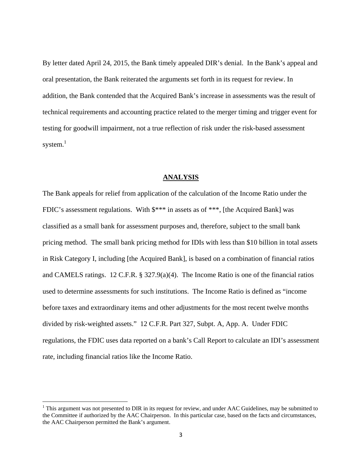By letter dated April 24, 2015, the Bank timely appealed DIR's denial. In the Bank's appeal and oral presentation, the Bank reiterated the arguments set forth in its request for review. In addition, the Bank contended that the Acquired Bank's increase in assessments was the result of technical requirements and accounting practice related to the merger timing and trigger event for testing for goodwill impairment, not a true reflection of risk under the risk-based assessment system. $^1$ 

#### **ANALYSIS**

The Bank appeals for relief from application of the calculation of the Income Ratio under the FDIC's assessment regulations. With \$\*\*\* in assets as of \*\*\*, [the Acquired Bank] was classified as a small bank for assessment purposes and, therefore, subject to the small bank pricing method. The small bank pricing method for IDIs with less than \$10 billion in total assets in Risk Category I, including [the Acquired Bank], is based on a combination of financial ratios and CAMELS ratings. 12 C.F.R. § 327.9(a)(4). The Income Ratio is one of the financial ratios used to determine assessments for such institutions. The Income Ratio is defined as "income before taxes and extraordinary items and other adjustments for the most recent twelve months divided by risk-weighted assets." 12 C.F.R. Part 327, Subpt. A, App. A. Under FDIC regulations, the FDIC uses data reported on a bank's Call Report to calculate an IDI's assessment rate, including financial ratios like the Income Ratio.

 $1$  This argument was not presented to DIR in its request for review, and under AAC Guidelines, may be submitted to the Committee if authorized by the AAC Chairperson. In this particular case, based on the facts and circumstances, the AAC Chairperson permitted the Bank's argument.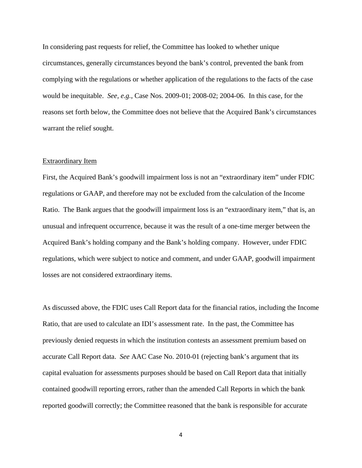In considering past requests for relief, the Committee has looked to whether unique circumstances, generally circumstances beyond the bank's control, prevented the bank from complying with the regulations or whether application of the regulations to the facts of the case would be inequitable. *See, e.g.*, Case Nos. 2009-01; 2008-02; 2004-06. In this case, for the reasons set forth below, the Committee does not believe that the Acquired Bank's circumstances warrant the relief sought.

#### Extraordinary Item

First, the Acquired Bank's goodwill impairment loss is not an "extraordinary item" under FDIC regulations or GAAP, and therefore may not be excluded from the calculation of the Income Ratio. The Bank argues that the goodwill impairment loss is an "extraordinary item," that is, an unusual and infrequent occurrence, because it was the result of a one-time merger between the Acquired Bank's holding company and the Bank's holding company. However, under FDIC regulations, which were subject to notice and comment, and under GAAP, goodwill impairment losses are not considered extraordinary items.

As discussed above, the FDIC uses Call Report data for the financial ratios, including the Income Ratio, that are used to calculate an IDI's assessment rate. In the past, the Committee has previously denied requests in which the institution contests an assessment premium based on accurate Call Report data. *See* AAC Case No. 2010-01 (rejecting bank's argument that its capital evaluation for assessments purposes should be based on Call Report data that initially contained goodwill reporting errors, rather than the amended Call Reports in which the bank reported goodwill correctly; the Committee reasoned that the bank is responsible for accurate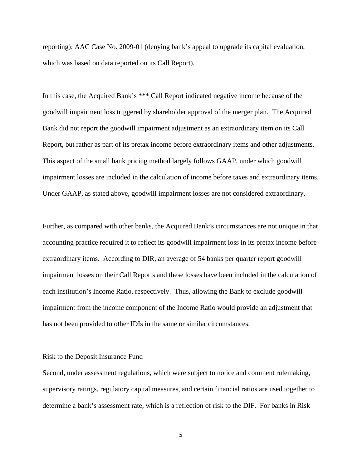reporting); AAC Case No. 2009-01 (denying bank's appeal to upgrade its capital evaluation, which was based on data reported on its Call Report).

In this case, the Acquired Bank's \*\*\* Call Report indicated negative income because of the goodwill impairment loss triggered by shareholder approval of the merger plan. The Acquired Bank did not report the goodwill impairment adjustment as an extraordinary item on its Call Report, but rather as part of its pretax income before extraordinary items and other adjustments. This aspect of the small bank pricing method largely follows GAAP, under which goodwill impairment losses are included in the calculation of income before taxes and extraordinary items. Under GAAP, as stated above, goodwill impairment losses are not considered extraordinary.

Further, as compared with other banks, the Acquired Bank's circumstances are not unique in that accounting practice required it to reflect its goodwill impairment loss in its pretax income before extraordinary items. According to DIR, an average of 54 banks per quarter report goodwill impairment losses on their Call Reports and these losses have been included in the calculation of each institution's Income Ratio, respectively. Thus, allowing the Bank to exclude goodwill impairment from the income component of the Income Ratio would provide an adjustment that has not been provided to other IDIs in the same or similar circumstances.

## Risk to the Deposit Insurance Fund

Second, under assessment regulations, which were subject to notice and comment rulemaking, supervisory ratings, regulatory capital measures, and certain financial ratios are used together to determine a bank's assessment rate, which is a reflection of risk to the DIF. For banks in Risk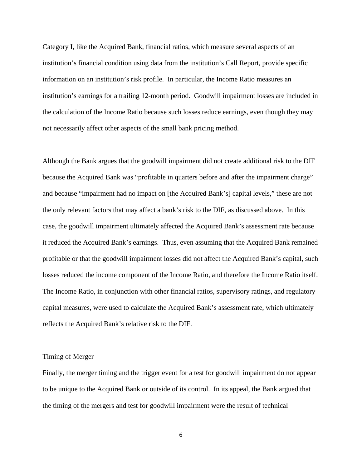Category I, like the Acquired Bank, financial ratios, which measure several aspects of an institution's financial condition using data from the institution's Call Report, provide specific information on an institution's risk profile. In particular, the Income Ratio measures an institution's earnings for a trailing 12-month period. Goodwill impairment losses are included in the calculation of the Income Ratio because such losses reduce earnings, even though they may not necessarily affect other aspects of the small bank pricing method.

Although the Bank argues that the goodwill impairment did not create additional risk to the DIF because the Acquired Bank was "profitable in quarters before and after the impairment charge" and because "impairment had no impact on [the Acquired Bank's] capital levels," these are not the only relevant factors that may affect a bank's risk to the DIF, as discussed above. In this case, the goodwill impairment ultimately affected the Acquired Bank's assessment rate because it reduced the Acquired Bank's earnings. Thus, even assuming that the Acquired Bank remained profitable or that the goodwill impairment losses did not affect the Acquired Bank's capital, such losses reduced the income component of the Income Ratio, and therefore the Income Ratio itself. The Income Ratio, in conjunction with other financial ratios, supervisory ratings, and regulatory capital measures, were used to calculate the Acquired Bank's assessment rate, which ultimately reflects the Acquired Bank's relative risk to the DIF.

#### Timing of Merger

Finally, the merger timing and the trigger event for a test for goodwill impairment do not appear to be unique to the Acquired Bank or outside of its control. In its appeal, the Bank argued that the timing of the mergers and test for goodwill impairment were the result of technical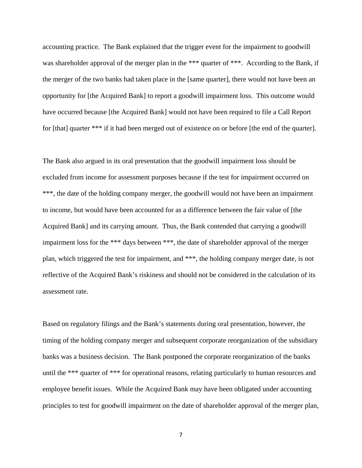accounting practice. The Bank explained that the trigger event for the impairment to goodwill was shareholder approval of the merger plan in the \*\*\* quarter of \*\*\*. According to the Bank, if the merger of the two banks had taken place in the [same quarter], there would not have been an opportunity for [the Acquired Bank] to report a goodwill impairment loss. This outcome would have occurred because [the Acquired Bank] would not have been required to file a Call Report for [that] quarter \*\*\* if it had been merged out of existence on or before [the end of the quarter].

The Bank also argued in its oral presentation that the goodwill impairment loss should be excluded from income for assessment purposes because if the test for impairment occurred on \*\*\*, the date of the holding company merger, the goodwill would not have been an impairment to income, but would have been accounted for as a difference between the fair value of [the Acquired Bank] and its carrying amount. Thus, the Bank contended that carrying a goodwill impairment loss for the \*\*\* days between \*\*\*, the date of shareholder approval of the merger plan, which triggered the test for impairment, and \*\*\*, the holding company merger date, is not reflective of the Acquired Bank's riskiness and should not be considered in the calculation of its assessment rate.

Based on regulatory filings and the Bank's statements during oral presentation, however, the timing of the holding company merger and subsequent corporate reorganization of the subsidiary banks was a business decision. The Bank postponed the corporate reorganization of the banks until the \*\*\* quarter of \*\*\* for operational reasons, relating particularly to human resources and employee benefit issues. While the Acquired Bank may have been obligated under accounting principles to test for goodwill impairment on the date of shareholder approval of the merger plan,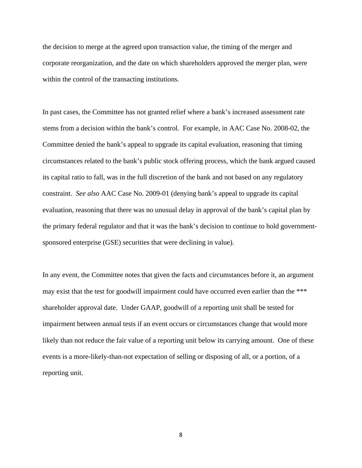the decision to merge at the agreed upon transaction value, the timing of the merger and corporate reorganization, and the date on which shareholders approved the merger plan, were within the control of the transacting institutions.

In past cases, the Committee has not granted relief where a bank's increased assessment rate stems from a decision within the bank's control. For example, in AAC Case No. 2008-02, the Committee denied the bank's appeal to upgrade its capital evaluation, reasoning that timing circumstances related to the bank's public stock offering process, which the bank argued caused its capital ratio to fall, was in the full discretion of the bank and not based on any regulatory constraint. *See also* AAC Case No. 2009-01 (denying bank's appeal to upgrade its capital evaluation, reasoning that there was no unusual delay in approval of the bank's capital plan by the primary federal regulator and that it was the bank's decision to continue to hold governmentsponsored enterprise (GSE) securities that were declining in value).

In any event, the Committee notes that given the facts and circumstances before it, an argument may exist that the test for goodwill impairment could have occurred even earlier than the \*\*\* shareholder approval date. Under GAAP, goodwill of a reporting unit shall be tested for impairment between annual tests if an event occurs or circumstances change that would more likely than not reduce the fair value of a reporting unit below its carrying amount. One of these events is a more-likely-than-not expectation of selling or disposing of all, or a portion, of a reporting unit.